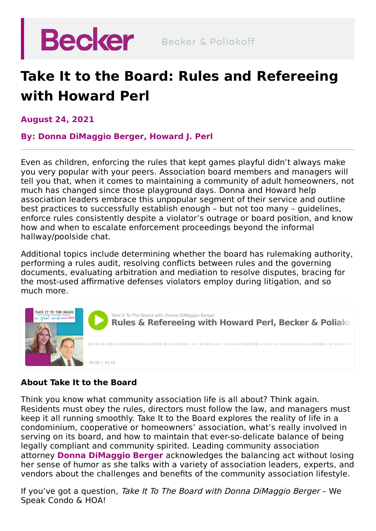

## **Take It to the Board: Rules and Refereeing with Howard Perl**

**August 24, 2021**

**By: Donna [DiMaggio](https://beckerlawyers.com/professionals/donna-dimaggio-berger/) Berger, [Howard](https://beckerlawyers.com/professionals/howard-perl/) J. Perl**

Even as children, enforcing the rules that kept games playful didn't always make you very popular with your peers. Association board members and managers will tell you that, when it comes to maintaining a community of adult homeowners, not much has changed since those playground days. Donna and Howard help association leaders embrace this unpopular segment of their service and outline best practices to successfully establish enough – but not too many – guidelines, enforce rules consistently despite a violator's outrage or board position, and know how and when to escalate enforcement proceedings beyond the informal hallway/poolside chat.

Additional topics include determining whether the board has rulemaking authority, performing a rules audit, resolving conflicts between rules and the governing documents, evaluating arbitration and mediation to resolve disputes, bracing for the most-used affirmative defenses violators employ during litigation, and so much more.



## **About Take It to the Board**

Think you know what community association life is all about? Think again. Residents must obey the rules, directors must follow the law, and managers must keep it all running smoothly. Take It to the Board explores the reality of life in a condominium, cooperative or homeowners' association, what's really involved in serving on its board, and how to maintain that ever-so-delicate balance of being legally compliant and community spirited. Leading community association attorney **Donna [DiMaggio](https://beckerlawyers.com/professionals/donna-dimaggio-berger/) Berger** acknowledges the balancing act without losing her sense of humor as she talks with a variety of association leaders, experts, and vendors about the challenges and benefits of the community association lifestyle.

If you've got a question, Take It To The Board with Donna DiMaggio Berger – We Speak Condo & HOA!